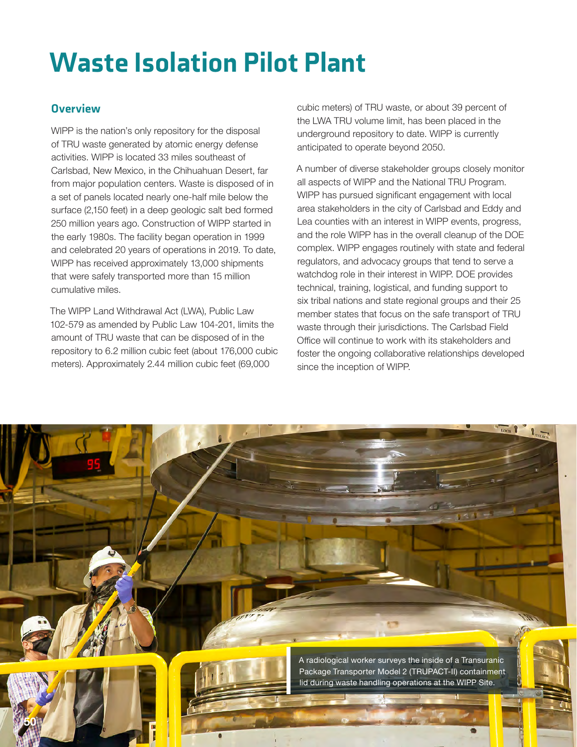# Waste Isolation Pilot Plant

## **Overview**

WIPP is the nation's only repository for the disposal of TRU waste generated by atomic energy defense activities. WIPP is located 33 miles southeast of Carlsbad, New Mexico, in the Chihuahuan Desert, far from major population centers. Waste is disposed of in a set of panels located nearly one-half mile below the surface (2,150 feet) in a deep geologic salt bed formed 250 million years ago. Construction of WIPP started in the early 1980s. The facility began operation in 1999 and celebrated 20 years of operations in 2019. To date, WIPP has received approximately 13,000 shipments that were safely transported more than 15 million cumulative miles.

The WIPP Land Withdrawal Act (LWA), Public Law 102-579 as amended by Public Law 104-201, limits the amount of TRU waste that can be disposed of in the repository to 6.2 million cubic feet (about 176,000 cubic meters). Approximately 2.44 million cubic feet (69,000

cubic meters) of TRU waste, or about 39 percent of the LWA TRU volume limit, has been placed in the underground repository to date. WIPP is currently anticipated to operate beyond 2050.

A number of diverse stakeholder groups closely monitor all aspects of WIPP and the National TRU Program. WIPP has pursued significant engagement with local area stakeholders in the city of Carlsbad and Eddy and Lea counties with an interest in WIPP events, progress, and the role WIPP has in the overall cleanup of the DOE complex. WIPP engages routinely with state and federal regulators, and advocacy groups that tend to serve a watchdog role in their interest in WIPP. DOE provides technical, training, logistical, and funding support to six tribal nations and state regional groups and their 25 member states that focus on the safe transport of TRU waste through their jurisdictions. The Carlsbad Field Office will continue to work with its stakeholders and foster the ongoing collaborative relationships developed since the inception of WIPP.

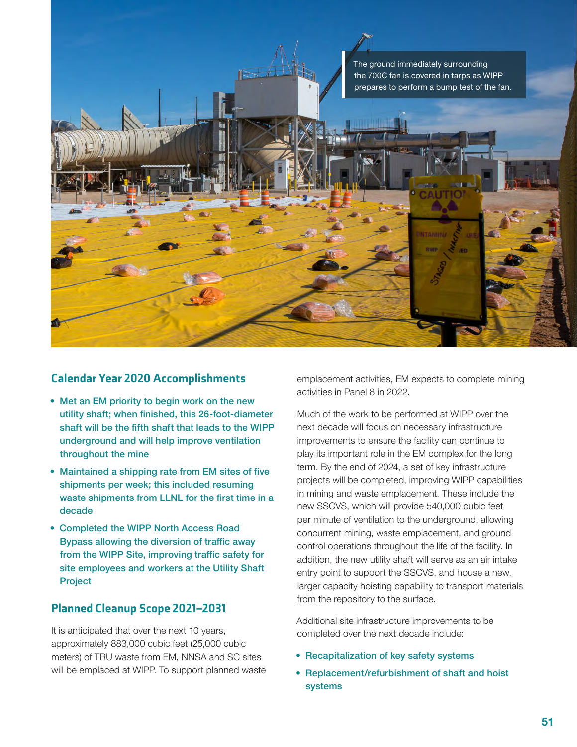

### Calendar Year 2020 Accomplishments

- Met an EM priority to begin work on the new utility shaft; when finished, this 26-foot-diameter shaft will be the fifth shaft that leads to the WIPP underground and will help improve ventilation throughout the mine
- Maintained a shipping rate from EM sites of five shipments per week; this included resuming waste shipments from LLNL for the first time in a decade
- Completed the WIPP North Access Road Bypass allowing the diversion of traffic away from the WIPP Site, improving traffic safety for site employees and workers at the Utility Shaft Project

### Planned Cleanup Scope 2021–2031

It is anticipated that over the next 10 years, approximately 883,000 cubic feet (25,000 cubic meters) of TRU waste from EM, NNSA and SC sites will be emplaced at WIPP. To support planned waste emplacement activities, EM expects to complete mining activities in Panel 8 in 2022.

Much of the work to be performed at WIPP over the next decade will focus on necessary infrastructure improvements to ensure the facility can continue to play its important role in the EM complex for the long term. By the end of 2024, a set of key infrastructure projects will be completed, improving WIPP capabilities in mining and waste emplacement. These include the new SSCVS, which will provide 540,000 cubic feet per minute of ventilation to the underground, allowing concurrent mining, waste emplacement, and ground control operations throughout the life of the facility. In addition, the new utility shaft will serve as an air intake entry point to support the SSCVS, and house a new, larger capacity hoisting capability to transport materials from the repository to the surface.

Additional site infrastructure improvements to be completed over the next decade include:

- Recapitalization of key safety systems
- Replacement/refurbishment of shaft and hoist systems